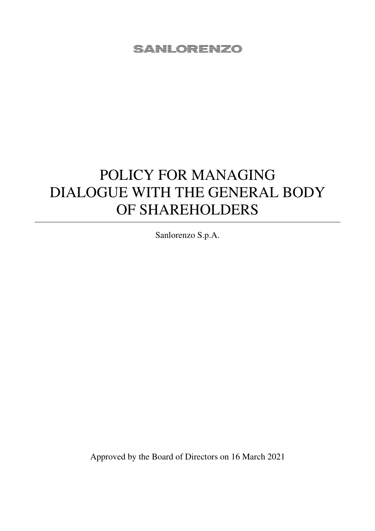# POLICY FOR MANAGING DIALOGUE WITH THE GENERAL BODY OF SHAREHOLDERS

Sanlorenzo S.p.A.

Approved by the Board of Directors on 16 March 2021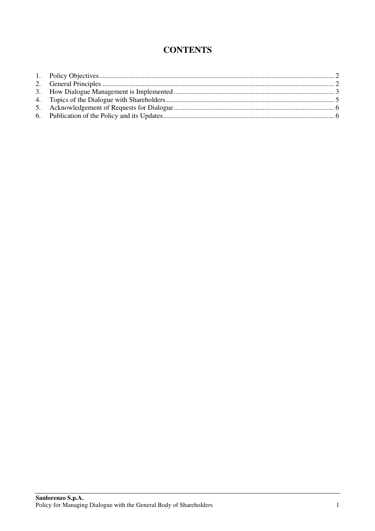# **CONTENTS**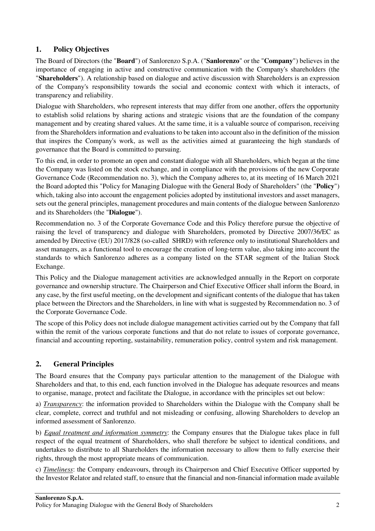# **1. Policy Objectives**

The Board of Directors (the "**Board**") of Sanlorenzo S.p.A. ("**Sanlorenzo**" or the "**Company**") believes in the importance of engaging in active and constructive communication with the Company's shareholders (the "**Shareholders**"). A relationship based on dialogue and active discussion with Shareholders is an expression of the Company's responsibility towards the social and economic context with which it interacts, of transparency and reliability.

Dialogue with Shareholders, who represent interests that may differ from one another, offers the opportunity to establish solid relations by sharing actions and strategic visions that are the foundation of the company management and by creating shared values. At the same time, it is a valuable source of comparison, receiving from the Shareholders information and evaluations to be taken into account also in the definition of the mission that inspires the Company's work, as well as the activities aimed at guaranteeing the high standards of governance that the Board is committed to pursuing.

To this end, in order to promote an open and constant dialogue with all Shareholders, which began at the time the Company was listed on the stock exchange, and in compliance with the provisions of the new Corporate Governance Code (Recommendation no. 3), which the Company adheres to, at its meeting of 16 March 2021 the Board adopted this "Policy for Managing Dialogue with the General Body of Shareholders" (the "**Policy**") which, taking also into account the engagement policies adopted by institutional investors and asset managers, sets out the general principles, management procedures and main contents of the dialogue between Sanlorenzo and its Shareholders (the "**Dialogue**").

Recommendation no. 3 of the Corporate Governance Code and this Policy therefore pursue the objective of raising the level of transparency and dialogue with Shareholders, promoted by Directive 2007/36/EC as amended by Directive (EU) 2017/828 (so-called SHRD) with reference only to institutional Shareholders and asset managers, as a functional tool to encourage the creation of long-term value, also taking into account the standards to which Sanlorenzo adheres as a company listed on the STAR segment of the Italian Stock Exchange.

This Policy and the Dialogue management activities are acknowledged annually in the Report on corporate governance and ownership structure. The Chairperson and Chief Executive Officer shall inform the Board, in any case, by the first useful meeting, on the development and significant contents of the dialogue that has taken place between the Directors and the Shareholders, in line with what is suggested by Recommendation no. 3 of the Corporate Governance Code.

The scope of this Policy does not include dialogue management activities carried out by the Company that fall within the remit of the various corporate functions and that do not relate to issues of corporate governance, financial and accounting reporting, sustainability, remuneration policy, control system and risk management.

# **2. General Principles**

The Board ensures that the Company pays particular attention to the management of the Dialogue with Shareholders and that, to this end, each function involved in the Dialogue has adequate resources and means to organise, manage, protect and facilitate the Dialogue, in accordance with the principles set out below:

a) *Transparency*: the information provided to Shareholders within the Dialogue with the Company shall be clear, complete, correct and truthful and not misleading or confusing, allowing Shareholders to develop an informed assessment of Sanlorenzo.

b) *Equal treatment and information symmetry*: the Company ensures that the Dialogue takes place in full respect of the equal treatment of Shareholders, who shall therefore be subject to identical conditions, and undertakes to distribute to all Shareholders the information necessary to allow them to fully exercise their rights, through the most appropriate means of communication.

c) *Timeliness*: the Company endeavours, through its Chairperson and Chief Executive Officer supported by the Investor Relator and related staff, to ensure that the financial and non-financial information made available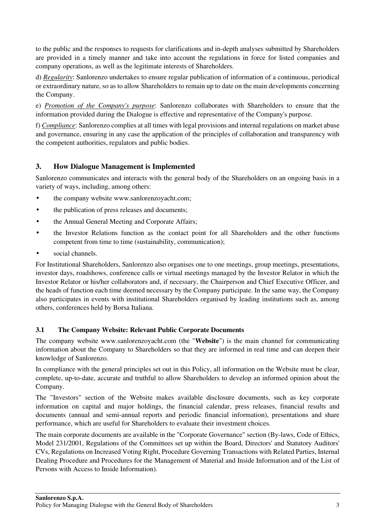to the public and the responses to requests for clarifications and in-depth analyses submitted by Shareholders are provided in a timely manner and take into account the regulations in force for listed companies and company operations, as well as the legitimate interests of Shareholders.

d) *Regularity*: Sanlorenzo undertakes to ensure regular publication of information of a continuous, periodical or extraordinary nature, so as to allow Shareholders to remain up to date on the main developments concerning the Company.

e) *Promotion of the Company's purpose*: Sanlorenzo collaborates with Shareholders to ensure that the information provided during the Dialogue is effective and representative of the Company's purpose.

f) *Compliance*: Sanlorenzo complies at all times with legal provisions and internal regulations on market abuse and governance, ensuring in any case the application of the principles of collaboration and transparency with the competent authorities, regulators and public bodies.

# **3. How Dialogue Management is Implemented**

Sanlorenzo communicates and interacts with the general body of the Shareholders on an ongoing basis in a variety of ways, including, among others:

- the company website www.sanlorenzoyacht.com;
- the publication of press releases and documents;
- the Annual General Meeting and Corporate Affairs;
- the Investor Relations function as the contact point for all Shareholders and the other functions competent from time to time (sustainability, communication);
- social channels.

For Institutional Shareholders, Sanlorenzo also organises one to one meetings, group meetings, presentations, investor days, roadshows, conference calls or virtual meetings managed by the Investor Relator in which the Investor Relator or his/her collaborators and, if necessary, the Chairperson and Chief Executive Officer, and the heads of function each time deemed necessary by the Company participate. In the same way, the Company also participates in events with institutional Shareholders organised by leading institutions such as, among others, conferences held by Borsa Italiana.

# **3.1 The Company Website: Relevant Public Corporate Documents**

The company website www.sanlorenzoyacht.com (the "**Website**") is the main channel for communicating information about the Company to Shareholders so that they are informed in real time and can deepen their knowledge of Sanlorenzo.

In compliance with the general principles set out in this Policy, all information on the Website must be clear, complete, up-to-date, accurate and truthful to allow Shareholders to develop an informed opinion about the Company.

The "Investors" section of the Website makes available disclosure documents, such as key corporate information on capital and major holdings, the financial calendar, press releases, financial results and documents (annual and semi-annual reports and periodic financial information), presentations and share performance, which are useful for Shareholders to evaluate their investment choices.

The main corporate documents are available in the "Corporate Governance" section (By-laws, Code of Ethics, Model 231/2001, Regulations of the Committees set up within the Board, Directors' and Statutory Auditors' CVs, Regulations on Increased Voting Right, Procedure Governing Transactions with Related Parties, Internal Dealing Procedure and Procedures for the Management of Material and Inside Information and of the List of Persons with Access to Inside Information).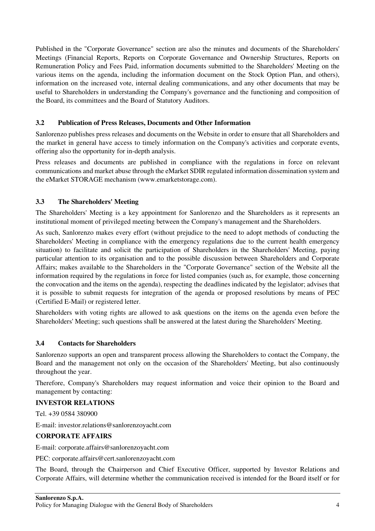Published in the "Corporate Governance" section are also the minutes and documents of the Shareholders' Meetings (Financial Reports, Reports on Corporate Governance and Ownership Structures, Reports on Remuneration Policy and Fees Paid, information documents submitted to the Shareholders' Meeting on the various items on the agenda, including the information document on the Stock Option Plan, and others), information on the increased vote, internal dealing communications, and any other documents that may be useful to Shareholders in understanding the Company's governance and the functioning and composition of the Board, its committees and the Board of Statutory Auditors.

#### **3.2 Publication of Press Releases, Documents and Other Information**

Sanlorenzo publishes press releases and documents on the Website in order to ensure that all Shareholders and the market in general have access to timely information on the Company's activities and corporate events, offering also the opportunity for in-depth analysis.

Press releases and documents are published in compliance with the regulations in force on relevant communications and market abuse through the eMarket SDIR regulated information dissemination system and the eMarket STORAGE mechanism (www.emarketstorage.com).

#### **3.3 The Shareholders' Meeting**

The Shareholders' Meeting is a key appointment for Sanlorenzo and the Shareholders as it represents an institutional moment of privileged meeting between the Company's management and the Shareholders.

As such, Sanlorenzo makes every effort (without prejudice to the need to adopt methods of conducting the Shareholders' Meeting in compliance with the emergency regulations due to the current health emergency situation) to facilitate and solicit the participation of Shareholders in the Shareholders' Meeting, paying particular attention to its organisation and to the possible discussion between Shareholders and Corporate Affairs; makes available to the Shareholders in the "Corporate Governance" section of the Website all the information required by the regulations in force for listed companies (such as, for example, those concerning the convocation and the items on the agenda), respecting the deadlines indicated by the legislator; advises that it is possible to submit requests for integration of the agenda or proposed resolutions by means of PEC (Certified E-Mail) or registered letter.

Shareholders with voting rights are allowed to ask questions on the items on the agenda even before the Shareholders' Meeting; such questions shall be answered at the latest during the Shareholders' Meeting.

#### **3.4 Contacts for Shareholders**

Sanlorenzo supports an open and transparent process allowing the Shareholders to contact the Company, the Board and the management not only on the occasion of the Shareholders' Meeting, but also continuously throughout the year.

Therefore, Company's Shareholders may request information and voice their opinion to the Board and management by contacting:

#### **INVESTOR RELATIONS**

Tel. +39 0584 380900

E-mail: investor.relations@sanlorenzoyacht.com

#### **CORPORATE AFFAIRS**

E-mail: corporate.affairs@sanlorenzoyacht.com

PEC: corporate.affairs@cert.sanlorenzoyacht.com

The Board, through the Chairperson and Chief Executive Officer, supported by Investor Relations and Corporate Affairs, will determine whether the communication received is intended for the Board itself or for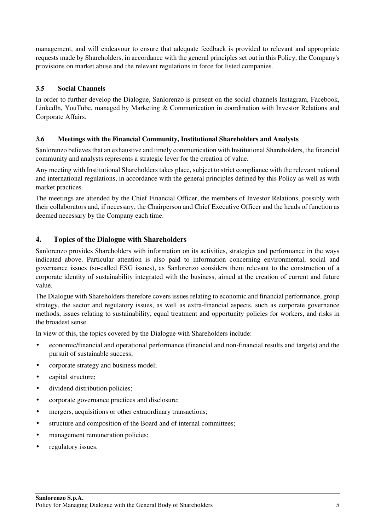management, and will endeavour to ensure that adequate feedback is provided to relevant and appropriate requests made by Shareholders, in accordance with the general principles set out in this Policy, the Company's provisions on market abuse and the relevant regulations in force for listed companies.

#### **3.5 Social Channels**

In order to further develop the Dialogue, Sanlorenzo is present on the social channels Instagram, Facebook, Linkedln, YouTube, managed by Marketing & Communication in coordination with Investor Relations and Corporate Affairs.

#### **3.6 Meetings with the Financial Community, Institutional Shareholders and Analysts**

Sanlorenzo believes that an exhaustive and timely communication with Institutional Shareholders, the financial community and analysts represents a strategic lever for the creation of value.

Any meeting with Institutional Shareholders takes place, subject to strict compliance with the relevant national and international regulations, in accordance with the general principles defined by this Policy as well as with market practices.

The meetings are attended by the Chief Financial Officer, the members of Investor Relations, possibly with their collaborators and, if necessary, the Chairperson and Chief Executive Officer and the heads of function as deemed necessary by the Company each time.

# **4. Topics of the Dialogue with Shareholders**

Sanlorenzo provides Shareholders with information on its activities, strategies and performance in the ways indicated above. Particular attention is also paid to information concerning environmental, social and governance issues (so-called ESG issues), as Sanlorenzo considers them relevant to the construction of a corporate identity of sustainability integrated with the business, aimed at the creation of current and future value.

The Dialogue with Shareholders therefore covers issues relating to economic and financial performance, group strategy, the sector and regulatory issues, as well as extra-financial aspects, such as corporate governance methods, issues relating to sustainability, equal treatment and opportunity policies for workers, and risks in the broadest sense.

In view of this, the topics covered by the Dialogue with Shareholders include:

- economic/financial and operational performance (financial and non-financial results and targets) and the pursuit of sustainable success;
- corporate strategy and business model;
- capital structure:
- dividend distribution policies;
- corporate governance practices and disclosure;
- mergers, acquisitions or other extraordinary transactions;
- structure and composition of the Board and of internal committees;
- management remuneration policies;
- regulatory issues.